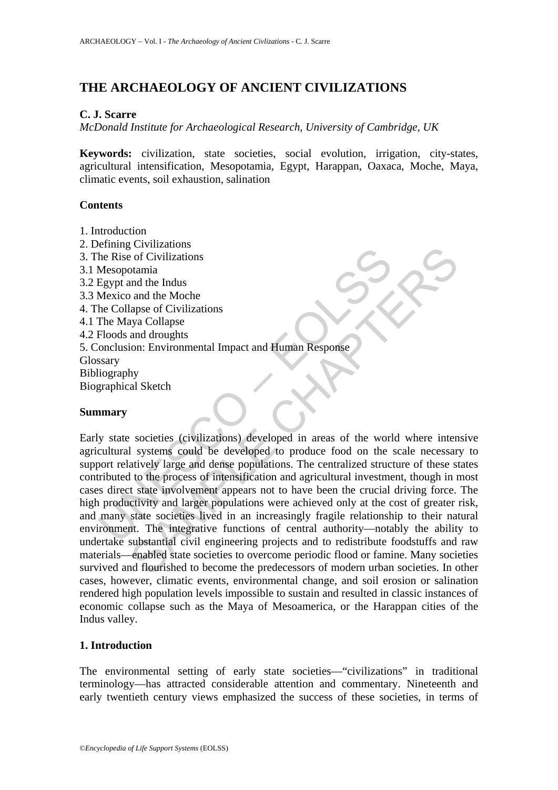# **THE ARCHAEOLOGY OF ANCIENT CIVILIZATIONS**

## **C. J. Scarre**

*McDonald Institute for Archaeological Research, University of Cambridge, UK* 

**Keywords:** civilization, state societies, social evolution, irrigation, city-states, agricultural intensification, Mesopotamia, Egypt, Harappan, Oaxaca, Moche, Maya, climatic events, soil exhaustion, salination

# **Contents**

- 1. Introduction
- 2. Defining Civilizations
- 3. The Rise of Civilizations
- 3.1 Mesopotamia
- 3.2 Egypt and the Indus
- 3.3 Mexico and the Moche
- 4. The Collapse of Civilizations
- 4.1 The Maya Collapse
- 4.2 Floods and droughts
- 5. Conclusion: Environmental Impact and Human Response
- Glossary
- Bibliography
- Biographical Sketch

### **Summary**

Frame Contage and the Rise of Civilizations<br>
Mesopotamia<br>
Egypt and the Indus<br>
Mexico and the Moche<br>
Elolapse of Civilizations<br>
The Maya Collapse<br>
Floods and droughts<br>
Floods and droughts<br>
Sexary<br>
industry<br>
Sexary<br>
Underst Convizionions<br>
of Civilizations<br>
and the Indus<br>
and the Moche<br>
any a Collapse<br>
and droughts<br>
any a Collapse<br>
and droughts<br>
any a Collapse<br>
and droughts<br>
by<br>
by<br>
by<br>
al Sketch<br>
societies (civilizations) developed in areas o Early state societies (civilizations) developed in areas of the world where intensive agricultural systems could be developed to produce food on the scale necessary to support relatively large and dense populations. The centralized structure of these states contributed to the process of intensification and agricultural investment, though in most cases direct state involvement appears not to have been the crucial driving force. The high productivity and larger populations were achieved only at the cost of greater risk, and many state societies lived in an increasingly fragile relationship to their natural environment. The integrative functions of central authority—notably the ability to undertake substantial civil engineering projects and to redistribute foodstuffs and raw materials—enabled state societies to overcome periodic flood or famine. Many societies survived and flourished to become the predecessors of modern urban societies. In other cases, however, climatic events, environmental change, and soil erosion or salination rendered high population levels impossible to sustain and resulted in classic instances of economic collapse such as the Maya of Mesoamerica, or the Harappan cities of the Indus valley.

# **1. Introduction**

The environmental setting of early state societies—"civilizations" in traditional terminology—has attracted considerable attention and commentary. Nineteenth and early twentieth century views emphasized the success of these societies, in terms of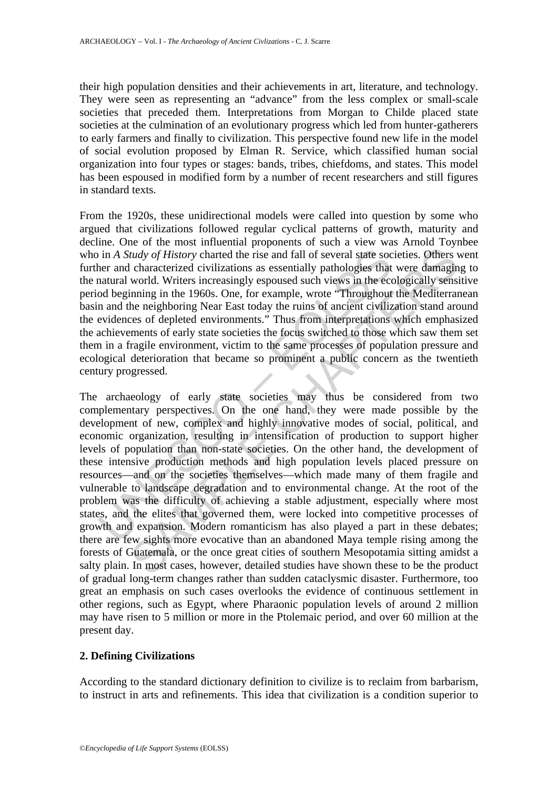their high population densities and their achievements in art, literature, and technology. They were seen as representing an "advance" from the less complex or small-scale societies that preceded them. Interpretations from Morgan to Childe placed state societies at the culmination of an evolutionary progress which led from hunter-gatherers to early farmers and finally to civilization. This perspective found new life in the model of social evolution proposed by Elman R. Service, which classified human social organization into four types or stages: bands, tribes, chiefdoms, and states. This model has been espoused in modified form by a number of recent researchers and still figures in standard texts.

From the 1920s, these unidirectional models were called into question by some who argued that civilizations followed regular cyclical patterns of growth, maturity and decline. One of the most influential proponents of such a view was Arnold Toynbee who in *A Study of History* charted the rise and fall of several state societies. Others went further and characterized civilizations as essentially pathologies that were damaging to the natural world. Writers increasingly espoused such views in the ecologically sensitive period beginning in the 1960s. One, for example, wrote "Throughout the Mediterranean basin and the neighboring Near East today the ruins of ancient civilization stand around the evidences of depleted environments." Thus from interpretations which emphasized the achievements of early state societies the focus switched to those which saw them set them in a fragile environment, victim to the same processes of population pressure and ecological deterioration that became so prominent a public concern as the twentieth century progressed.

is in A *Study of History* charted the rise and fall of several state socher and characterized civilizations as essentially pathologies that and world. Writers increasingly espoused such views in the ecod beginning in the Interior of History charter rise and fall of several state societies. Others view signing via the rise and fall of several state societies. Others is characterized civilizations as essentially pathologies that were damagin The archaeology of early state societies may thus be considered from two complementary perspectives. On the one hand, they were made possible by the development of new, complex and highly innovative modes of social, political, and economic organization, resulting in intensification of production to support higher levels of population than non-state societies. On the other hand, the development of these intensive production methods and high population levels placed pressure on resources—and on the societies themselves—which made many of them fragile and vulnerable to landscape degradation and to environmental change. At the root of the problem was the difficulty of achieving a stable adjustment, especially where most states, and the elites that governed them, were locked into competitive processes of growth and expansion. Modern romanticism has also played a part in these debates; there are few sights more evocative than an abandoned Maya temple rising among the forests of Guatemala, or the once great cities of southern Mesopotamia sitting amidst a salty plain. In most cases, however, detailed studies have shown these to be the product of gradual long-term changes rather than sudden cataclysmic disaster. Furthermore, too great an emphasis on such cases overlooks the evidence of continuous settlement in other regions, such as Egypt, where Pharaonic population levels of around 2 million may have risen to 5 million or more in the Ptolemaic period, and over 60 million at the present day.

# **2. Defining Civilizations**

According to the standard dictionary definition to civilize is to reclaim from barbarism, to instruct in arts and refinements. This idea that civilization is a condition superior to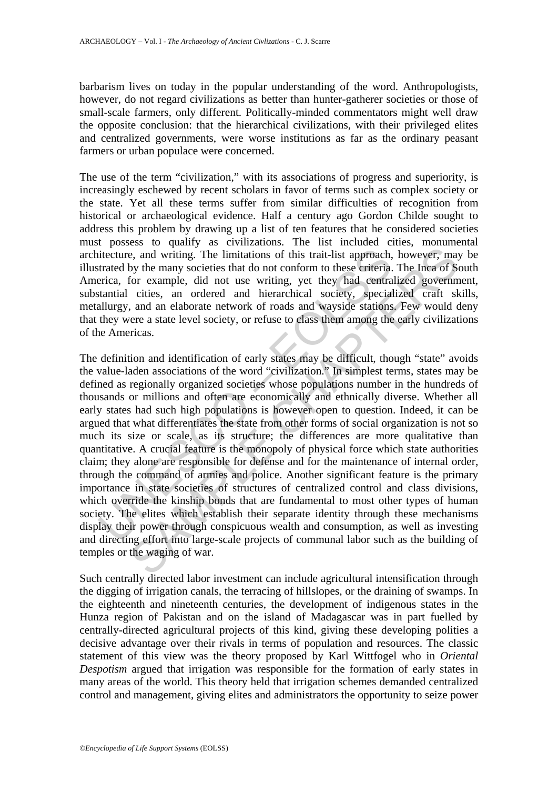barbarism lives on today in the popular understanding of the word. Anthropologists, however, do not regard civilizations as better than hunter-gatherer societies or those of small-scale farmers, only different. Politically-minded commentators might well draw the opposite conclusion: that the hierarchical civilizations, with their privileged elites and centralized governments, were worse institutions as far as the ordinary peasant farmers or urban populace were concerned.

The use of the term "civilization," with its associations of progress and superiority, is increasingly eschewed by recent scholars in favor of terms such as complex society or the state. Yet all these terms suffer from similar difficulties of recognition from historical or archaeological evidence. Half a century ago Gordon Childe sought to address this problem by drawing up a list of ten features that he considered societies must possess to qualify as civilizations. The list included cities, monumental architecture, and writing. The limitations of this trait-list approach, however, may be illustrated by the many societies that do not conform to these criteria. The Inca of South America, for example, did not use writing, yet they had centralized government, substantial cities, an ordered and hierarchical society, specialized craft skills, metallurgy, and an elaborate network of roads and wayside stations. Few would deny that they were a state level society, or refuse to class them among the early civilizations of the Americas.

itecture, and writing. The limitations of this trait-list approach,<br>tiracted by the many societies that do not conform to these criteria.<br>First-carcica, for example, did not use writing, yet they had centra<br>tantial cities, is, and writing. The limitations of this trait-list approach, however, may by the many societies that do not conform to these criteria. The Inca of So example, did not use writing, yet they had central a government criteri The definition and identification of early states may be difficult, though "state" avoids the value-laden associations of the word "civilization." In simplest terms, states may be defined as regionally organized societies whose populations number in the hundreds of thousands or millions and often are economically and ethnically diverse. Whether all early states had such high populations is however open to question. Indeed, it can be argued that what differentiates the state from other forms of social organization is not so much its size or scale, as its structure; the differences are more qualitative than quantitative. A crucial feature is the monopoly of physical force which state authorities claim; they alone are responsible for defense and for the maintenance of internal order, through the command of armies and police. Another significant feature is the primary importance in state societies of structures of centralized control and class divisions, which override the kinship bonds that are fundamental to most other types of human society. The elites which establish their separate identity through these mechanisms display their power through conspicuous wealth and consumption, as well as investing and directing effort into large-scale projects of communal labor such as the building of temples or the waging of war.

Such centrally directed labor investment can include agricultural intensification through the digging of irrigation canals, the terracing of hillslopes, or the draining of swamps. In the eighteenth and nineteenth centuries, the development of indigenous states in the Hunza region of Pakistan and on the island of Madagascar was in part fuelled by centrally-directed agricultural projects of this kind, giving these developing polities a decisive advantage over their rivals in terms of population and resources. The classic statement of this view was the theory proposed by Karl Wittfogel who in *Oriental Despotism* argued that irrigation was responsible for the formation of early states in many areas of the world. This theory held that irrigation schemes demanded centralized control and management, giving elites and administrators the opportunity to seize power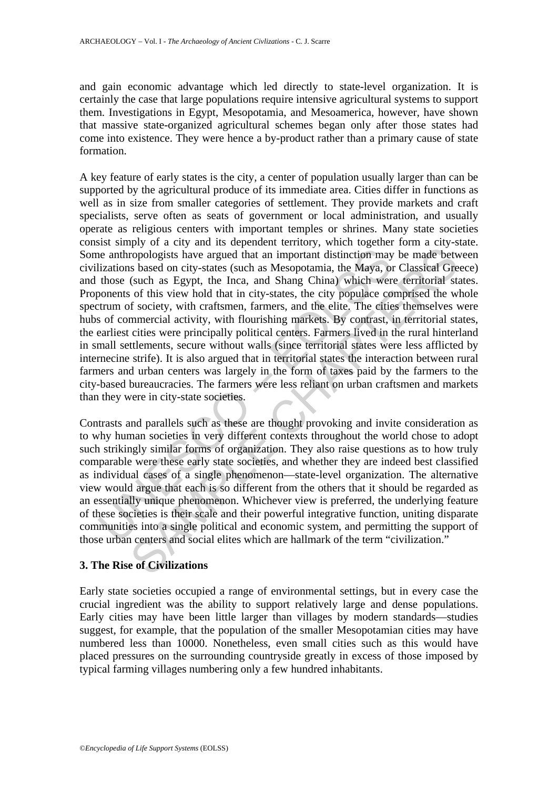and gain economic advantage which led directly to state-level organization. It is certainly the case that large populations require intensive agricultural systems to support them. Investigations in Egypt, Mesopotamia, and Mesoamerica, however, have shown that massive state-organized agricultural schemes began only after those states had come into existence. They were hence a by-product rather than a primary cause of state formation.

he anthropologists have argued that an important distinction may<br>lizations based on city-states (such as Mesopotamia, the Maya, or<br>those (such as Egypt, the Inca, and Shang China) which wer<br>onents of this view hold that in ropologists have argued that an important distinction may be made between propologists have argued that an important distinction may be made between sa Egypt, the Inca, and Shang China) which were territorial states of thi A key feature of early states is the city, a center of population usually larger than can be supported by the agricultural produce of its immediate area. Cities differ in functions as well as in size from smaller categories of settlement. They provide markets and craft specialists, serve often as seats of government or local administration, and usually operate as religious centers with important temples or shrines. Many state societies consist simply of a city and its dependent territory, which together form a city-state. Some anthropologists have argued that an important distinction may be made between civilizations based on city-states (such as Mesopotamia, the Maya, or Classical Greece) and those (such as Egypt, the Inca, and Shang China) which were territorial states. Proponents of this view hold that in city-states, the city populace comprised the whole spectrum of society, with craftsmen, farmers, and the elite. The cities themselves were hubs of commercial activity, with flourishing markets. By contrast, in territorial states, the earliest cities were principally political centers. Farmers lived in the rural hinterland in small settlements, secure without walls (since territorial states were less afflicted by internecine strife). It is also argued that in territorial states the interaction between rural farmers and urban centers was largely in the form of taxes paid by the farmers to the city-based bureaucracies. The farmers were less reliant on urban craftsmen and markets than they were in city-state societies.

Contrasts and parallels such as these are thought provoking and invite consideration as to why human societies in very different contexts throughout the world chose to adopt such strikingly similar forms of organization. They also raise questions as to how truly comparable were these early state societies, and whether they are indeed best classified as individual cases of a single phenomenon—state-level organization. The alternative view would argue that each is so different from the others that it should be regarded as an essentially unique phenomenon. Whichever view is preferred, the underlying feature of these societies is their scale and their powerful integrative function, uniting disparate communities into a single political and economic system, and permitting the support of those urban centers and social elites which are hallmark of the term "civilization."

### **3. The Rise of Civilizations**

Early state societies occupied a range of environmental settings, but in every case the crucial ingredient was the ability to support relatively large and dense populations. Early cities may have been little larger than villages by modern standards—studies suggest, for example, that the population of the smaller Mesopotamian cities may have numbered less than 10000. Nonetheless, even small cities such as this would have placed pressures on the surrounding countryside greatly in excess of those imposed by typical farming villages numbering only a few hundred inhabitants.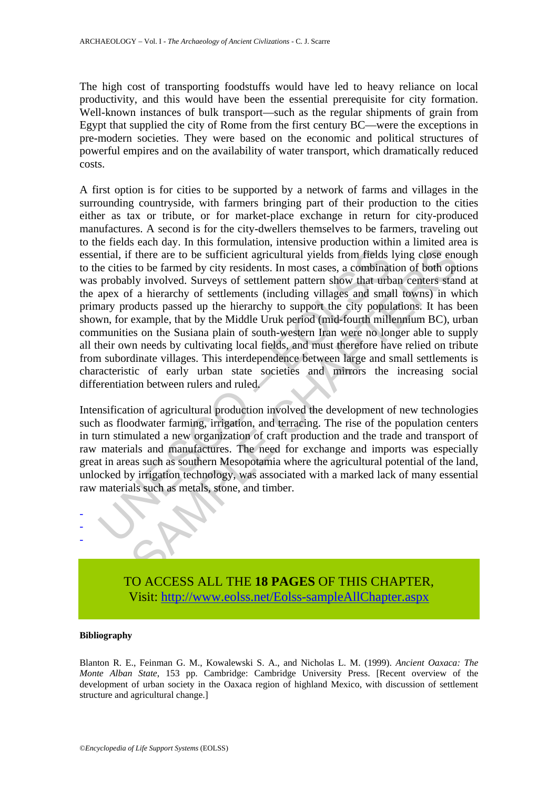The high cost of transporting foodstuffs would have led to heavy reliance on local productivity, and this would have been the essential prerequisite for city formation. Well-known instances of bulk transport—such as the regular shipments of grain from Egypt that supplied the city of Rome from the first century BC—were the exceptions in pre-modern societies. They were based on the economic and political structures of powerful empires and on the availability of water transport, which dramatically reduced costs.

ntial, if there are to be sufficient agricultural yields from fields le cities to be farmed by city residents. In most cases, a combinati probably involved. Surveys of settlement pattern show that urbspex of a hierarchy of f there are to be sufficient agricultural yields from fields lying close ence to be sufficient agricultural yields from fields lying close ence to be farmed by city residents. In most cases, a combination of both optical S A first option is for cities to be supported by a network of farms and villages in the surrounding countryside, with farmers bringing part of their production to the cities either as tax or tribute, or for market-place exchange in return for city-produced manufactures. A second is for the city-dwellers themselves to be farmers, traveling out to the fields each day. In this formulation, intensive production within a limited area is essential, if there are to be sufficient agricultural yields from fields lying close enough to the cities to be farmed by city residents. In most cases, a combination of both options was probably involved. Surveys of settlement pattern show that urban centers stand at the apex of a hierarchy of settlements (including villages and small towns) in which primary products passed up the hierarchy to support the city populations. It has been shown, for example, that by the Middle Uruk period (mid-fourth millennium BC), urban communities on the Susiana plain of south-western Iran were no longer able to supply all their own needs by cultivating local fields, and must therefore have relied on tribute from subordinate villages. This interdependence between large and small settlements is characteristic of early urban state societies and mirrors the increasing social differentiation between rulers and ruled.

Intensification of agricultural production involved the development of new technologies such as floodwater farming, irrigation, and terracing. The rise of the population centers in turn stimulated a new organization of craft production and the trade and transport of raw materials and manufactures. The need for exchange and imports was especially great in areas such as southern Mesopotamia where the agricultural potential of the land, unlocked by irrigation technology, was associated with a marked lack of many essential raw materials such as metals, stone, and timber.



#### **Bibliography**

- - -

Blanton R. E., Feinman G. M., Kowalewski S. A., and Nicholas L. M. (1999). *Ancient Oaxaca: The Monte Alban State*, 153 pp. Cambridge: Cambridge University Press. [Recent overview of the development of urban society in the Oaxaca region of highland Mexico, with discussion of settlement structure and agricultural change.]